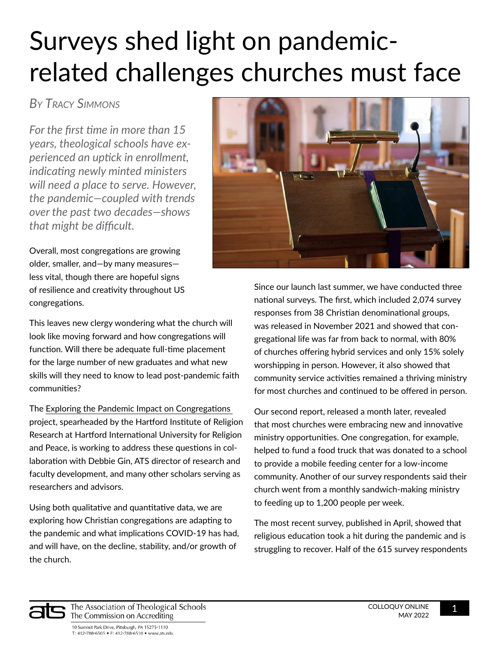## Surveys shed light on pandemicrelated challenges churches must face

## *By Tracy Simmons*

*For the first time in more than 15 years, theological schools have experienced an uptick in enrollment, indicating newly minted ministers will need a place to serve. However, the pandemic—coupled with trends over the past two decades—shows that might be difficult.*

Overall, most congregations are growing older, smaller, and—by many measures less vital, though there are hopeful signs of resilience and creativity throughout US congregations.

This leaves new clergy wondering what the church will look like moving forward and how congregations will function. Will there be adequate full-time placement for the large number of new graduates and what new skills will they need to know to lead post-pandemic faith communities?

The [Exploring the Pandemic Impact on Congregations](https://www.covidreligionresearch.org/)  project, spearheaded by the Hartford Institute of Religion Research at Hartford International University for Religion and Peace, is working to address these questions in collaboration with Debbie Gin, ATS director of research and faculty development, and many other scholars serving as researchers and advisors.

Using both qualitative and quantitative data, we are exploring how Christian congregations are adapting to the pandemic and what implications COVID-19 has had, and will have, on the decline, stability, and/or growth of the church.



Since our launch last summer, we have conducted three national surveys. The first, which included 2,074 survey responses from 38 Christian denominational groups, was released in November 2021 and showed that congregational life was far from back to normal, with 80% of churches offering hybrid services and only 15% solely worshipping in person. However, it also showed that community service activities remained a thriving ministry for most churches and continued to be offered in person.

Our second report, released a month later, revealed that most churches were embracing new and innovative ministry opportunities. One congregation, for example, helped to fund a food truck that was donated to a school to provide a mobile feeding center for a low-income community. Another of our survey respondents said their church went from a monthly sandwich-making ministry to feeding up to 1,200 people per week.

The most recent survey, published in April, showed that religious education took a hit during the pandemic and is struggling to recover. Half of the 615 survey respondents



The Association of Theological Schools The Commission on Accrediting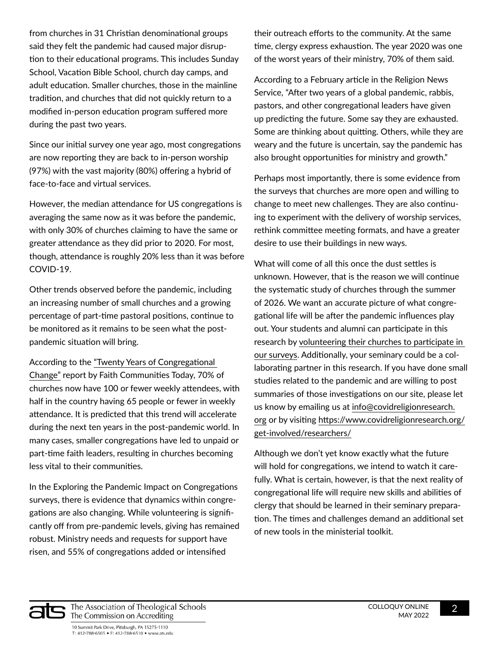from churches in 31 Christian denominational groups said they felt the pandemic had caused major disruption to their educational programs. This includes Sunday School, Vacation Bible School, church day camps, and adult education. Smaller churches, those in the mainline tradition, and churches that did not quickly return to a modified in-person education program suffered more during the past two years.

Since our initial survey one year ago, most congregations are now reporting they are back to in-person worship (97%) with the vast majority (80%) offering a hybrid of face-to-face and virtual services.

However, the median attendance for US congregations is averaging the same now as it was before the pandemic, with only 30% of churches claiming to have the same or greater attendance as they did prior to 2020. For most, though, attendance is roughly 20% less than it was before COVID-19.

Other trends observed before the pandemic, including an increasing number of small churches and a growing percentage of part-time pastoral positions, continue to be monitored as it remains to be seen what the postpandemic situation will bring.

According to the ["Twenty Years of Congregational](https://faithcommunitiestoday.org/fact-2020-survey/)  [Change"](https://faithcommunitiestoday.org/fact-2020-survey/) report by Faith Communities Today, 70% of churches now have 100 or fewer weekly attendees, with half in the country having 65 people or fewer in weekly attendance. It is predicted that this trend will accelerate during the next ten years in the post-pandemic world. In many cases, smaller congregations have led to unpaid or part-time faith leaders, resulting in churches becoming less vital to their communities.

In the Exploring the Pandemic Impact on Congregations surveys, there is evidence that dynamics within congregations are also changing. While volunteering is significantly off from pre-pandemic levels, giving has remained robust. Ministry needs and requests for support have risen, and 55% of congregations added or intensified

their outreach efforts to the community. At the same time, clergy express exhaustion. The year 2020 was one of the worst years of their ministry, 70% of them said.

According to a February article in the Religion News Service, "After two years of a global pandemic, rabbis, pastors, and other congregational leaders have given up predicting the future. Some say they are exhausted. Some are thinking about quitting. Others, while they are weary and the future is uncertain, say the pandemic has also brought opportunities for ministry and growth."

Perhaps most importantly, there is some evidence from the surveys that churches are more open and willing to change to meet new challenges. They are also continuing to experiment with the delivery of worship services, rethink committee meeting formats, and have a greater desire to use their buildings in new ways.

What will come of all this once the dust settles is unknown. However, that is the reason we will continue the systematic study of churches through the summer of 2026. We want an accurate picture of what congregational life will be after the pandemic influences play out. Your students and alumni can participate in this research by [volunteering their churches to participate in](https://www.covidreligionresearch.org/get-involved/congregational-denominational-leaders/)  [our surveys](https://www.covidreligionresearch.org/get-involved/congregational-denominational-leaders/). Additionally, your seminary could be a collaborating partner in this research. If you have done small studies related to the pandemic and are willing to post summaries of those investigations on our site, please let us know by emailing us at [info@covidreligionresearch.](mailto:info%40covidreligionresearch.org?subject=) [org](mailto:info%40covidreligionresearch.org?subject=) or by visiting [https://www.covidreligionresearch.org/](https://www.covidreligionresearch.org/get-involved/researchers/) [get-involved/researchers/](https://www.covidreligionresearch.org/get-involved/researchers/)

Although we don't yet know exactly what the future will hold for congregations, we intend to watch it carefully. What is certain, however, is that the next reality of congregational life will require new skills and abilities of clergy that should be learned in their seminary preparation. The times and challenges demand an additional set of new tools in the ministerial toolkit.